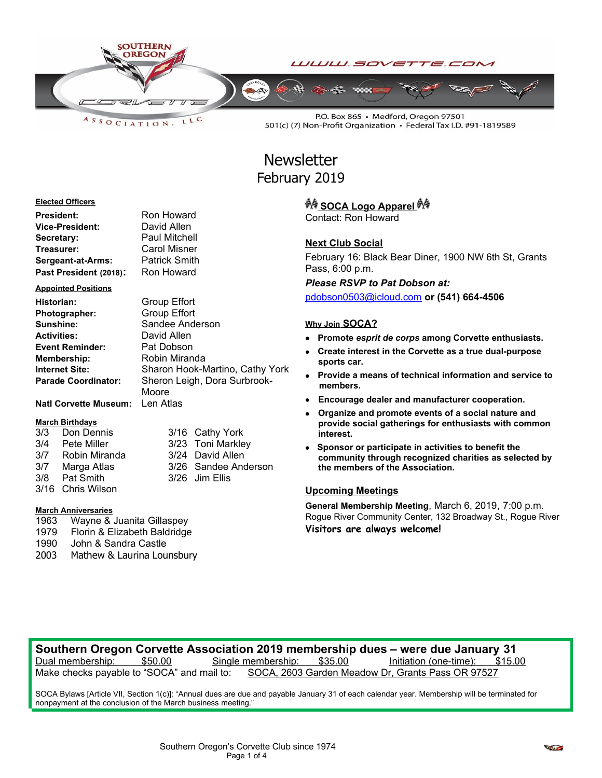

LLC  $A S S O C IATION$ 

P.O. Box 865 · Medford, Oregon 97501 501(c) (7) Non-Profit Organization • Federal Tax I.D. #91-1819589

# **Newsletter** February 2019

#### **Elected Officers**

| President:             | Ron Howard           |
|------------------------|----------------------|
| Vice-President:        | David Allen          |
| Secretary:             | <b>Paul Mitchell</b> |
| Treasurer:             | <b>Carol Misner</b>  |
| Sergeant-at-Arms:      | <b>Patrick Smith</b> |
| Past President (2018): | Ron Howard           |

#### **Appointed Positions**

| Historian:                   | <b>Group Effort</b>             |
|------------------------------|---------------------------------|
| Photographer:                | <b>Group Effort</b>             |
| Sunshine:                    | Sandee Anderson                 |
| <b>Activities:</b>           | David Allen                     |
| <b>Event Reminder:</b>       | Pat Dobson                      |
| <b>Membership:</b>           | Robin Miranda                   |
| <b>Internet Site:</b>        | Sharon Hook-Martino, Cathy York |
| <b>Parade Coordinator:</b>   | Sheron Leigh, Dora Surbrook-    |
|                              | Moore                           |
| <b>Natl Corvette Museum:</b> | Len Atlas                       |

**Smith** 

#### **March Birthdays**

| 3/3 Don Dennis    | 3/16 Cathy York      |
|-------------------|----------------------|
| 3/4 Pete Miller   | 3/23 Toni Markley    |
| 3/7 Robin Miranda | 3/24 David Allen     |
| 3/7 Marga Atlas   | 3/26 Sandee Anderson |
| 3/8 Pat Smith     | 3/26 Jim Ellis       |
| 3/16 Chris Wilson |                      |

#### **March Anniversaries**

- 1963 Wayne & Juanita Gillaspey
- 1979 Florin & Elizabeth Baldridge
- 1990 John & Sandra Castle
- 2003 Mathew & Laurina Lounsbury

# **SOCA Logo Apparel**

Contact: Ron Howard

# **Next Club Social**

February 16: Black Bear Diner, 1900 NW 6th St, Grants Pass, 6:00 p.m.

*Please RSVP to Pat Dobson at:*

[pdobson0503@icloud.com](mailto:pdobson0503@icloud.com) **or (541) 664-4506**

### **Why Join SOCA?**

- **Promote** *esprit de corps* **among Corvette enthusiasts.**
- **Create interest in the Corvette as a true dual-purpose sports car.**
- **Provide a means of technical information and service to members.**
- **Encourage dealer and manufacturer cooperation.**
- **Organize and promote events of a social nature and provide social gatherings for enthusiasts with common interest.**
- **Sponsor or participate in activities to benefit the community through recognized charities as selected by the members of the Association.**

## **Upcoming Meetings**

**General Membership Meeting**, March 6, 2019, 7:00 p.m. Rogue River Community Center, 132 Broadway St., Rogue River **Visitors are always welcome!**

## **Southern Oregon Corvette Association 2019 membership dues – were due January 31** Dual membership: \$50.00 Single membership: \$35.00 Initiation (one-time): \$15.00 Make checks payable to "SOCA" and mail to: SOCA, 2603 Garden Meadow Dr, Grants Pass OR 97527

SOCA Bylaws [Article VII, Section 1(c)]: "Annual dues are due and payable January 31 of each calendar year. Membership will be terminated for nonpayment at the conclusion of the March business meeting."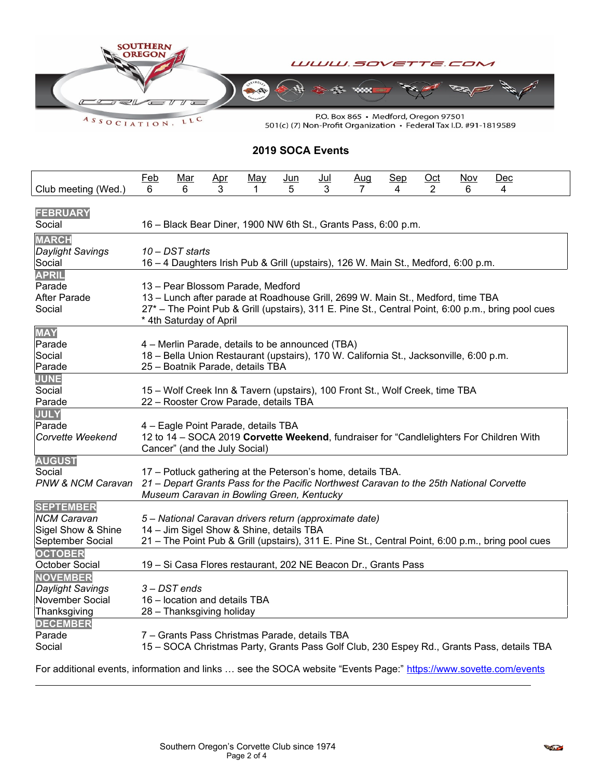

ASSOCIATION. LLC

 $\overline{a}$ 

501(c) (7) Non-Profit Organization • Federal Tax I.D. #91-1819589

# **2019 SOCA Events**

|                                 | <b>Feb</b>                                                                                                                                                               | Mar                           | Apr | <u>May</u>                                    | <u>Jun</u> | $Jul$ | Aug                                                                          | Sep | $Oct$          | <b>Nov</b> | Dec                                                                                               |  |
|---------------------------------|--------------------------------------------------------------------------------------------------------------------------------------------------------------------------|-------------------------------|-----|-----------------------------------------------|------------|-------|------------------------------------------------------------------------------|-----|----------------|------------|---------------------------------------------------------------------------------------------------|--|
| Club meeting (Wed.)             | 6.                                                                                                                                                                       | 6                             | 3   | 1                                             | 5.         | 3     | 7                                                                            | 4   | $\overline{2}$ | 6          | 4                                                                                                 |  |
| <b>FEBRUARY</b><br>Social       |                                                                                                                                                                          |                               |     |                                               |            |       | 16 - Black Bear Diner, 1900 NW 6th St., Grants Pass, 6:00 p.m.               |     |                |            |                                                                                                   |  |
| <b>MARCH</b>                    |                                                                                                                                                                          |                               |     |                                               |            |       |                                                                              |     |                |            |                                                                                                   |  |
| Daylight Savings                | 10 - DST starts                                                                                                                                                          |                               |     |                                               |            |       |                                                                              |     |                |            |                                                                                                   |  |
| Social                          | 16 - 4 Daughters Irish Pub & Grill (upstairs), 126 W. Main St., Medford, 6:00 p.m.                                                                                       |                               |     |                                               |            |       |                                                                              |     |                |            |                                                                                                   |  |
| <b>APRIL</b>                    |                                                                                                                                                                          |                               |     |                                               |            |       |                                                                              |     |                |            |                                                                                                   |  |
| Parade                          |                                                                                                                                                                          |                               |     | 13 - Pear Blossom Parade, Medford             |            |       |                                                                              |     |                |            |                                                                                                   |  |
| <b>After Parade</b>             | 13 - Lunch after parade at Roadhouse Grill, 2699 W. Main St., Medford, time TBA                                                                                          |                               |     |                                               |            |       |                                                                              |     |                |            |                                                                                                   |  |
| Social                          | 27* - The Point Pub & Grill (upstairs), 311 E. Pine St., Central Point, 6:00 p.m., bring pool cues                                                                       |                               |     |                                               |            |       |                                                                              |     |                |            |                                                                                                   |  |
|                                 | * 4th Saturday of April                                                                                                                                                  |                               |     |                                               |            |       |                                                                              |     |                |            |                                                                                                   |  |
| <b>MAY</b>                      |                                                                                                                                                                          |                               |     |                                               |            |       |                                                                              |     |                |            |                                                                                                   |  |
| Parade                          | 4 - Merlin Parade, details to be announced (TBA)                                                                                                                         |                               |     |                                               |            |       |                                                                              |     |                |            |                                                                                                   |  |
| Social                          | 18 - Bella Union Restaurant (upstairs), 170 W. California St., Jacksonville, 6:00 p.m.<br>25 - Boatnik Parade, details TBA                                               |                               |     |                                               |            |       |                                                                              |     |                |            |                                                                                                   |  |
| Parade                          |                                                                                                                                                                          |                               |     |                                               |            |       |                                                                              |     |                |            |                                                                                                   |  |
| <b>JUNE</b>                     |                                                                                                                                                                          |                               |     |                                               |            |       |                                                                              |     |                |            |                                                                                                   |  |
| Social<br>Parade                |                                                                                                                                                                          |                               |     | 22 - Rooster Crow Parade, details TBA         |            |       | 15 - Wolf Creek Inn & Tavern (upstairs), 100 Front St., Wolf Creek, time TBA |     |                |            |                                                                                                   |  |
| <b>JULY</b>                     |                                                                                                                                                                          |                               |     |                                               |            |       |                                                                              |     |                |            |                                                                                                   |  |
| Parade                          |                                                                                                                                                                          |                               |     | 4 - Eagle Point Parade, details TBA           |            |       |                                                                              |     |                |            |                                                                                                   |  |
| Corvette Weekend                |                                                                                                                                                                          |                               |     |                                               |            |       |                                                                              |     |                |            | 12 to 14 - SOCA 2019 Corvette Weekend, fundraiser for "Candlelighters For Children With           |  |
|                                 |                                                                                                                                                                          | Cancer" (and the July Social) |     |                                               |            |       |                                                                              |     |                |            |                                                                                                   |  |
| <b>AUGUST</b>                   |                                                                                                                                                                          |                               |     |                                               |            |       |                                                                              |     |                |            |                                                                                                   |  |
| Social                          |                                                                                                                                                                          |                               |     |                                               |            |       |                                                                              |     |                |            |                                                                                                   |  |
|                                 | 17 - Potluck gathering at the Peterson's home, details TBA.<br>PNW & NCM Caravan 21 – Depart Grants Pass for the Pacific Northwest Caravan to the 25th National Corvette |                               |     |                                               |            |       |                                                                              |     |                |            |                                                                                                   |  |
|                                 |                                                                                                                                                                          |                               |     | Museum Caravan in Bowling Green, Kentucky     |            |       |                                                                              |     |                |            |                                                                                                   |  |
| <b>SEPTEMBER</b>                |                                                                                                                                                                          |                               |     |                                               |            |       |                                                                              |     |                |            |                                                                                                   |  |
| <b>NCM Caravan</b>              |                                                                                                                                                                          |                               |     |                                               |            |       | 5 - National Caravan drivers return (approximate date)                       |     |                |            |                                                                                                   |  |
| Sigel Show & Shine              | 14 - Jim Sigel Show & Shine, details TBA                                                                                                                                 |                               |     |                                               |            |       |                                                                              |     |                |            |                                                                                                   |  |
| September Social                |                                                                                                                                                                          |                               |     |                                               |            |       |                                                                              |     |                |            | 21 – The Point Pub & Grill (upstairs), 311 E. Pine St., Central Point, 6:00 p.m., bring pool cues |  |
| <b>OCTOBER</b>                  |                                                                                                                                                                          |                               |     |                                               |            |       |                                                                              |     |                |            |                                                                                                   |  |
| October Social                  |                                                                                                                                                                          |                               |     |                                               |            |       | 19 - Si Casa Flores restaurant, 202 NE Beacon Dr., Grants Pass               |     |                |            |                                                                                                   |  |
| NOVEMBER                        |                                                                                                                                                                          |                               |     |                                               |            |       |                                                                              |     |                |            |                                                                                                   |  |
| <b>Daylight Savings</b>         |                                                                                                                                                                          | $3 - DST$ ends                |     |                                               |            |       |                                                                              |     |                |            |                                                                                                   |  |
| November Social                 | 16 - location and details TBA<br>28 - Thanksgiving holiday                                                                                                               |                               |     |                                               |            |       |                                                                              |     |                |            |                                                                                                   |  |
| Thanksgiving<br><b>DECEMBER</b> |                                                                                                                                                                          |                               |     |                                               |            |       |                                                                              |     |                |            |                                                                                                   |  |
| Parade                          |                                                                                                                                                                          |                               |     | 7 - Grants Pass Christmas Parade, details TBA |            |       |                                                                              |     |                |            |                                                                                                   |  |
| Social                          |                                                                                                                                                                          |                               |     |                                               |            |       |                                                                              |     |                |            | 15 - SOCA Christmas Party, Grants Pass Golf Club, 230 Espey Rd., Grants Pass, details TBA         |  |
|                                 |                                                                                                                                                                          |                               |     |                                               |            |       |                                                                              |     |                |            |                                                                                                   |  |

For additional events, information and links ... see the SOCA website "Events Page:"<https://www.sovette.com/events>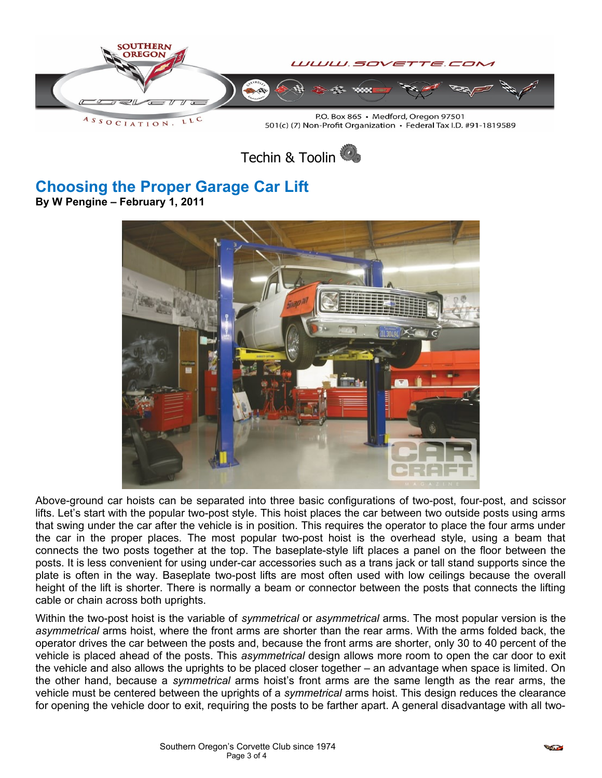

Techin & Toolin

# **Choosing the Proper Garage Car Lift**

**By W Pengine – February 1, 2011**



Above-ground car hoists can be separated into three basic configurations of two-post, four-post, and scissor lifts. Let's start with the popular two-post style. This hoist places the car between two outside posts using arms that swing under the car after the vehicle is in position. This requires the operator to place the four arms under the car in the proper places. The most popular two-post hoist is the overhead style, using a beam that connects the two posts together at the top. The baseplate-style lift places a panel on the floor between the posts. It is less convenient for using under-car accessories such as a trans jack or tall stand supports since the plate is often in the way. Baseplate two-post lifts are most often used with low ceilings because the overall height of the lift is shorter. There is normally a beam or connector between the posts that connects the lifting cable or chain across both uprights.

Within the two-post hoist is the variable of *symmetrical* or *asymmetrical* arms. The most popular version is the *asymmetrical* arms hoist, where the front arms are shorter than the rear arms. With the arms folded back, the operator drives the car between the posts and, because the front arms are shorter, only 30 to 40 percent of the vehicle is placed ahead of the posts. This *asymmetrical* design allows more room to open the car door to exit the vehicle and also allows the uprights to be placed closer together – an advantage when space is limited. On the other hand, because a *symmetrical* arms hoist's front arms are the same length as the rear arms, the vehicle must be centered between the uprights of a *symmetrical* arms hoist. This design reduces the clearance for opening the vehicle door to exit, requiring the posts to be farther apart. A general disadvantage with all two-